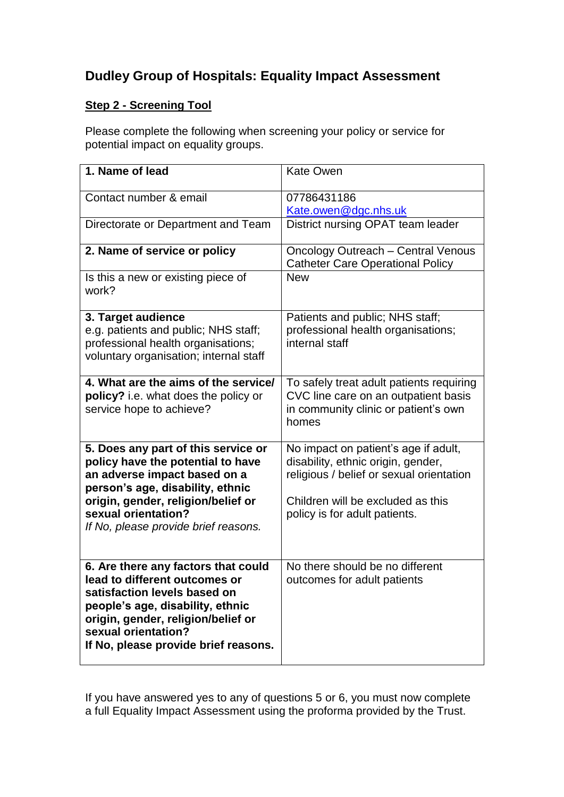## **Dudley Group of Hospitals: Equality Impact Assessment**

## **Step 2 - Screening Tool**

Please complete the following when screening your policy or service for potential impact on equality groups.

| 1. Name of lead                                                                                                                                                                                                                                   | <b>Kate Owen</b>                                                                                                                                                                             |
|---------------------------------------------------------------------------------------------------------------------------------------------------------------------------------------------------------------------------------------------------|----------------------------------------------------------------------------------------------------------------------------------------------------------------------------------------------|
| Contact number & email                                                                                                                                                                                                                            | 07786431186<br>Kate.owen@dgc.nhs.uk                                                                                                                                                          |
| Directorate or Department and Team                                                                                                                                                                                                                | District nursing OPAT team leader                                                                                                                                                            |
| 2. Name of service or policy                                                                                                                                                                                                                      | <b>Oncology Outreach - Central Venous</b><br><b>Catheter Care Operational Policy</b>                                                                                                         |
| Is this a new or existing piece of<br>work?                                                                                                                                                                                                       | <b>New</b>                                                                                                                                                                                   |
| 3. Target audience<br>e.g. patients and public; NHS staff;<br>professional health organisations;<br>voluntary organisation; internal staff                                                                                                        | Patients and public; NHS staff;<br>professional health organisations;<br>internal staff                                                                                                      |
| 4. What are the aims of the service/<br>policy? i.e. what does the policy or<br>service hope to achieve?                                                                                                                                          | To safely treat adult patients requiring<br>CVC line care on an outpatient basis<br>in community clinic or patient's own<br>homes                                                            |
| 5. Does any part of this service or<br>policy have the potential to have<br>an adverse impact based on a<br>person's age, disability, ethnic<br>origin, gender, religion/belief or<br>sexual orientation?<br>If No, please provide brief reasons. | No impact on patient's age if adult,<br>disability, ethnic origin, gender,<br>religious / belief or sexual orientation<br>Children will be excluded as this<br>policy is for adult patients. |
| 6. Are there any factors that could<br>lead to different outcomes or<br>satisfaction levels based on<br>people's age, disability, ethnic<br>origin, gender, religion/belief or<br>sexual orientation?<br>If No, please provide brief reasons.     | No there should be no different<br>outcomes for adult patients                                                                                                                               |

If you have answered yes to any of questions 5 or 6, you must now complete a full Equality Impact Assessment using the proforma provided by the Trust.